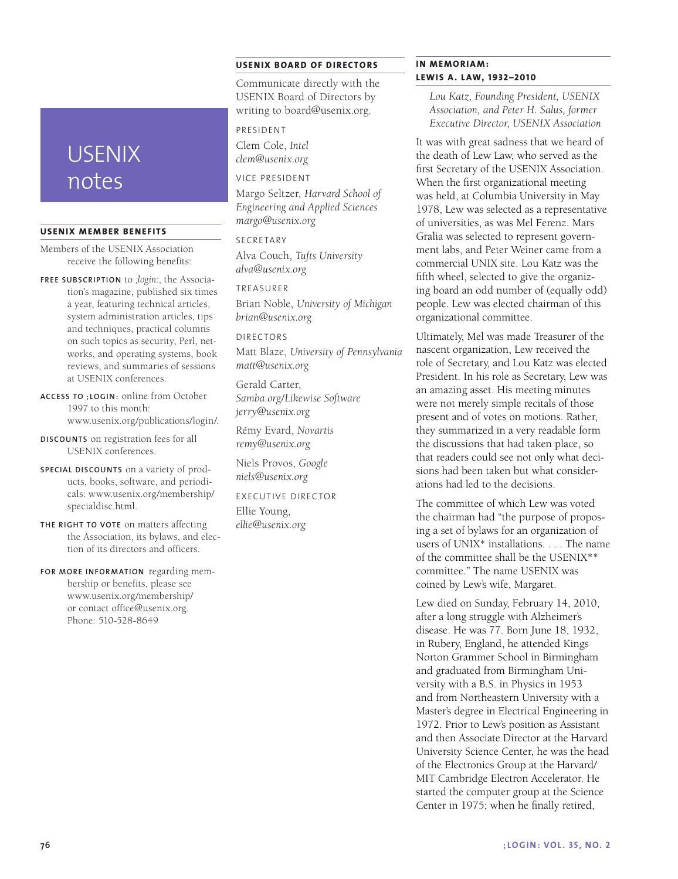# USENIX notes

#### **USENIX Member Benefits**

Members of the USENIX Association receive the following benefits:

**Free subscrip tion** to *;login:*, the Association's magazine, published six times a year, featuring technical articles, system administration articles, tips and techniques, practical columns on such topics as security, Perl, networks, and operating systems, book reviews, and summaries of sessions at USENIX conferences.

**Access to ;login :** online from October 1997 to this month: www.usenix.org/publications/login/.

**Discounts** on registration fees for all USENIX conferences.

**Special discounts** on a variety of products, books, software, and periodicals: www.usenix.org/membership/ specialdisc.html.

THE RIGHT TO VOTE on matters affecting the Association, its bylaws, and election of its directors and officers.

**For more information** regarding membership or benefits, please see www.usenix.org/membership/ or contact office@usenix.org. Phone: 510-528-8649

#### **USENIX Board of Director s**

Communicate directly with the USENIX Board of Directors by writing to board@usenix.org.

President Clem Cole, *Intel clem@usenix.org*

Vice President

Margo Seltzer, *Harvard School of Engineering and Applied Sciences margo@usenix.org*

SECRETARY Alva Couch, *Tufts University alva@usenix.org*

Treasurer Brian Noble, *University of Michigan brian@usenix.org*

Directors Matt Blaze, *University of Pennsylvania matt@usenix.org*

Gerald Carter, *Samba.org/Likewise Software jerry@usenix.org*

Rémy Evard, *Novartis remy@usenix.org*

Niels Provos, *Google niels@usenix.org*

Executive Director Ellie Young,

*ellie@usenix.org*

## **IN MEMORIAM: Lewis A. Law, 1932–2010**

*Lou Katz, Founding President, USENIX Association, and Peter H. Salus, former Executive Director, USENIX Association*

It was with great sadness that we heard of the death of Lew Law, who served as the first Secretary of the USENIX Association. When the first organizational meeting was held, at Columbia University in May 1978, Lew was selected as a representative of universities, as was Mel Ferenz. Mars Gralia was selected to represent government labs, and Peter Weiner came from a commercial UNIX site. Lou Katz was the fifth wheel, selected to give the organizing board an odd number of (equally odd) people. Lew was elected chairman of this organizational committee.

Ultimately, Mel was made Treasurer of the nascent organization, Lew received the role of Secretary, and Lou Katz was elected President. In his role as Secretary, Lew was an amazing asset. His meeting minutes were not merely simple recitals of those present and of votes on motions. Rather, they summarized in a very readable form the discussions that had taken place, so that readers could see not only what decisions had been taken but what considerations had led to the decisions.

The committee of which Lew was voted the chairman had "the purpose of proposing a set of bylaws for an organization of users of UNIX\* installations. . . . The name of the committee shall be the USENIX\*\* committee." The name USENIX was coined by Lew's wife, Margaret.

Lew died on Sunday, February 14, 2010, after a long struggle with Alzheimer's disease. He was 77. Born June 18, 1932, in Rubery, England, he attended Kings Norton Grammer School in Birmingham and graduated from Birmingham University with a B.S. in Physics in 1953 and from Northeastern University with a Master's degree in Electrical Engineering in 1972. Prior to Lew's position as Assistant and then Associate Director at the Harvard University Science Center, he was the head of the Electronics Group at the Harvard/ MIT Cambridge Electron Accelerator. He started the computer group at the Science Center in 1975; when he finally retired,